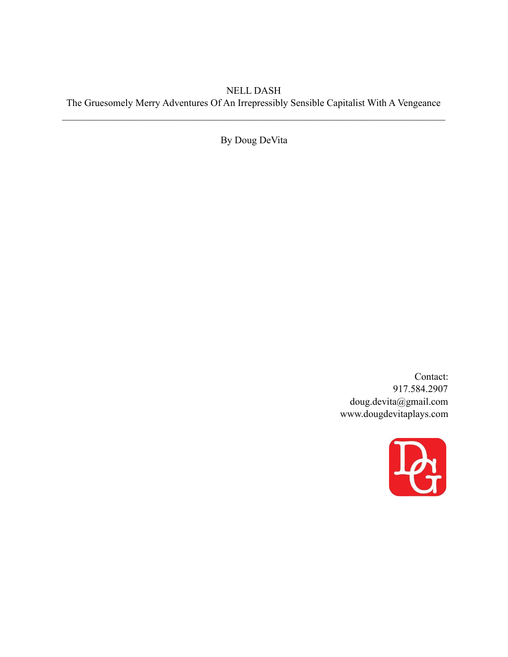# NELL DASH The Gruesomely Merry Adventures Of An Irrepressibly Sensible Capitalist With A Vengeance

 $\mathcal{L}_\mathcal{L} = \{ \mathcal{L}_\mathcal{L} = \{ \mathcal{L}_\mathcal{L} = \{ \mathcal{L}_\mathcal{L} = \{ \mathcal{L}_\mathcal{L} = \{ \mathcal{L}_\mathcal{L} = \{ \mathcal{L}_\mathcal{L} = \{ \mathcal{L}_\mathcal{L} = \{ \mathcal{L}_\mathcal{L} = \{ \mathcal{L}_\mathcal{L} = \{ \mathcal{L}_\mathcal{L} = \{ \mathcal{L}_\mathcal{L} = \{ \mathcal{L}_\mathcal{L} = \{ \mathcal{L}_\mathcal{L} = \{ \mathcal{L}_\mathcal{$ 

By Doug DeVita

Contact: 917.584.2907 doug.devita@gmail.com www.dougdevitaplays.com

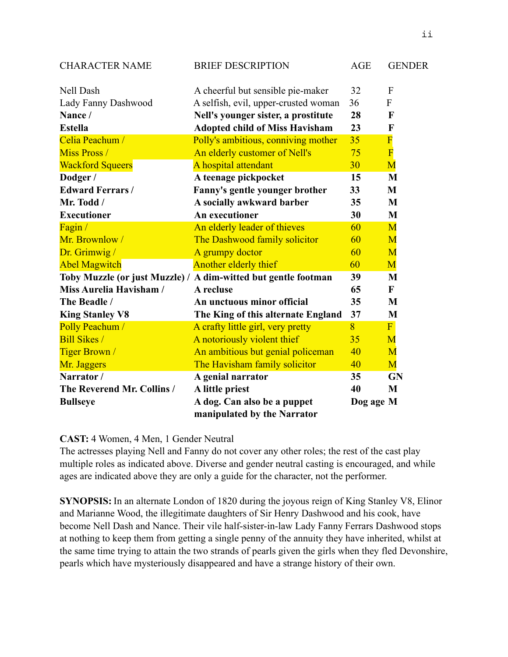| <b>CHARACTER NAME</b>      | <b>BRIEF DESCRIPTION</b>                                       | <b>AGE</b> | <b>GENDER</b>  |
|----------------------------|----------------------------------------------------------------|------------|----------------|
| Nell Dash                  | A cheerful but sensible pie-maker                              | 32         | F              |
| Lady Fanny Dashwood        | A selfish, evil, upper-crusted woman                           | 36         | F              |
| Nance /                    | Nell's younger sister, a prostitute                            | 28         | $\mathbf F$    |
| <b>Estella</b>             | <b>Adopted child of Miss Havisham</b>                          | 23         | $\mathbf F$    |
| Celia Peachum /            | Polly's ambitious, conniving mother                            | 35         | $\overline{F}$ |
| <b>Miss Pross</b> /        | An elderly customer of Nell's                                  | 75         | $\overline{F}$ |
| <b>Wackford Squeers</b>    | A hospital attendant                                           | 30         | M              |
| Dodger /                   | A teenage pickpocket                                           | 15         | M              |
| <b>Edward Ferrars/</b>     | Fanny's gentle younger brother                                 | 33         | M              |
| Mr. Todd /                 | A socially awkward barber                                      | 35         | M              |
| <b>Executioner</b>         | <b>An executioner</b>                                          | 30         | M              |
| Fagin /                    | An elderly leader of thieves                                   | 60         | M              |
| Mr. Brownlow/              | The Dashwood family solicitor                                  | 60         | M              |
| Dr. Grimwig /              | A grumpy doctor                                                | 60         | M              |
| <b>Abel Magwitch</b>       | Another elderly thief                                          | 60         | M              |
|                            | Toby Muzzle (or just Muzzle) / A dim-witted but gentle footman | 39         | M              |
| Miss Aurelia Havisham /    | A recluse                                                      | 65         | $\mathbf{F}$   |
| The Beadle /               | An unctuous minor official                                     | 35         | M              |
| <b>King Stanley V8</b>     | The King of this alternate England                             | 37         | M              |
| Polly Peachum /            | A crafty little girl, very pretty                              | 8          | F              |
| <b>Bill Sikes /</b>        | A notoriously violent thief                                    | 35         | M              |
| <b>Tiger Brown</b> /       | An ambitious but genial policeman                              | 40         | M              |
| Mr. Jaggers                | The Havisham family solicitor                                  | 40         | M              |
| Narrator /                 | A genial narrator                                              | 35         | <b>GN</b>      |
| The Reverend Mr. Collins / | A little priest                                                | 40         | M              |
| <b>Bullseye</b>            | A dog. Can also be a puppet                                    | Dog age M  |                |
|                            | manipulated by the Narrator                                    |            |                |

# **CAST:** 4 Women, 4 Men, 1 Gender Neutral

The actresses playing Nell and Fanny do not cover any other roles; the rest of the cast play multiple roles as indicated above. Diverse and gender neutral casting is encouraged, and while ages are indicated above they are only a guide for the character, not the performer.

**SYNOPSIS:** In an alternate London of 1820 during the joyous reign of King Stanley V8, Elinor and Marianne Wood, the illegitimate daughters of Sir Henry Dashwood and his cook, have become Nell Dash and Nance. Their vile half-sister-in-law Lady Fanny Ferrars Dashwood stops at nothing to keep them from getting a single penny of the annuity they have inherited, whilst at the same time trying to attain the two strands of pearls given the girls when they fled Devonshire, pearls which have mysteriously disappeared and have a strange history of their own.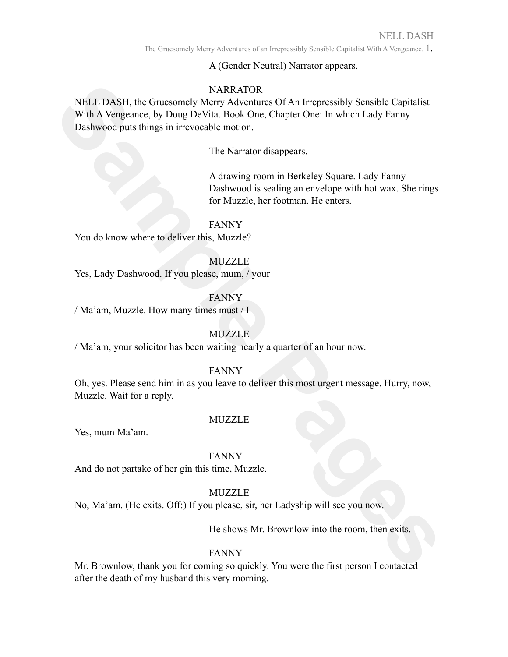A (Gender Neutral) Narrator appears.

# **NARRATOR**

NELL DASH, the Gruesomely MARRATOR<br>
WETY Adventures Of An Intepressibly Sensible Capitulist<br>
With A Vengence, by Doug DeVita. Book One, Chapter One: In which Lady Fanny<br>
Dashwood puts things in incrocoable motion.<br>
The Nar NELL DASH, the Gruesomely Merry Adventures Of An Irrepressibly Sensible Capitalist With A Vengeance, by Doug DeVita. Book One, Chapter One: In which Lady Fanny Dashwood puts things in irrevocable motion.

The Narrator disappears.

A drawing room in Berkeley Square. Lady Fanny Dashwood is sealing an envelope with hot wax. She rings for Muzzle, her footman. He enters.

FANNY

You do know where to deliver this, Muzzle?

**MUZZLE** 

Yes, Lady Dashwood. If you please, mum, / your

FANNY

/ Ma'am, Muzzle. How many times must / I

# MUZZLE

/ Ma'am, your solicitor has been waiting nearly a quarter of an hour now.

## FANNY

Oh, yes. Please send him in as you leave to deliver this most urgent message. Hurry, now, Muzzle. Wait for a reply.

# MUZZLE

Yes, mum Ma'am.

## FANNY

And do not partake of her gin this time, Muzzle.

# **MUZZLE**

No, Ma'am. (He exits. Off:) If you please, sir, her Ladyship will see you now.

He shows Mr. Brownlow into the room, then exits.

# FANNY

Mr. Brownlow, thank you for coming so quickly. You were the first person I contacted after the death of my husband this very morning.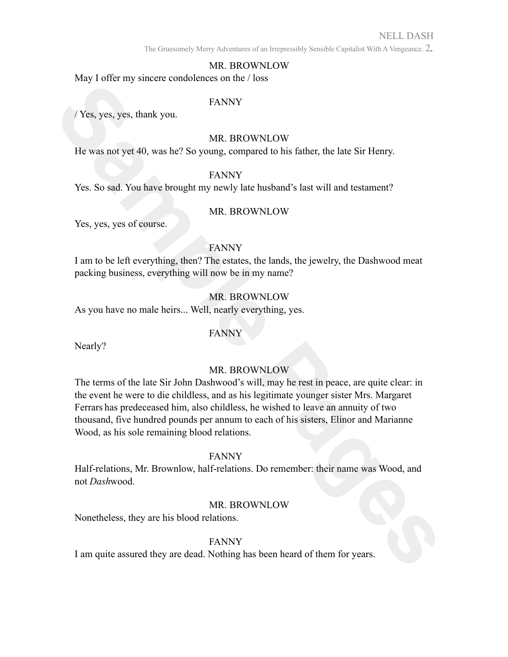The Gruesomely Merry Adventures of an Irrepressibly Sensible Capitalist With A Vengeance. 2.

### MR. BROWNLOW

May I offer my sincere condolences on the / loss

#### FANNY

/ Yes, yes, yes, thank you.

## MR. BROWNLOW

He was not yet 40, was he? So young, compared to his father, the late Sir Henry.

## FANNY

Yes. So sad. You have brought my newly late husband's last will and testament?

## MR. BROWNLOW

Yes, yes, yes of course.

## FANNY

I am to be left everything, then? The estates, the lands, the jewelry, the Dashwood meat packing business, everything will now be in my name?

## MR. BROWNLOW

As you have no male heirs... Well, nearly everything, yes.

## FANNY

Nearly?

## MR. BROWNLOW

FANNY<br>
IN the was not yet ally small contained on the Table<br>
IN THE SAMPY<br>
IN THE WAS NOT AND HE was not yet 40, was he? So young, compared to his father, the late Sir Henry.<br>
Yes, So sad You have brought my newly hate hus The terms of the late Sir John Dashwood's will, may he rest in peace, are quite clear: in the event he were to die childless, and as his legitimate younger sister Mrs. Margaret Ferrars has predeceased him, also childless, he wished to leave an annuity of two thousand, five hundred pounds per annum to each of his sisters, Elinor and Marianne Wood, as his sole remaining blood relations.

#### FANNY

Half-relations, Mr. Brownlow, half-relations. Do remember: their name was Wood, and not *Dash*wood.

## MR. BROWNLOW

Nonetheless, they are his blood relations.

## FANNY

I am quite assured they are dead. Nothing has been heard of them for years.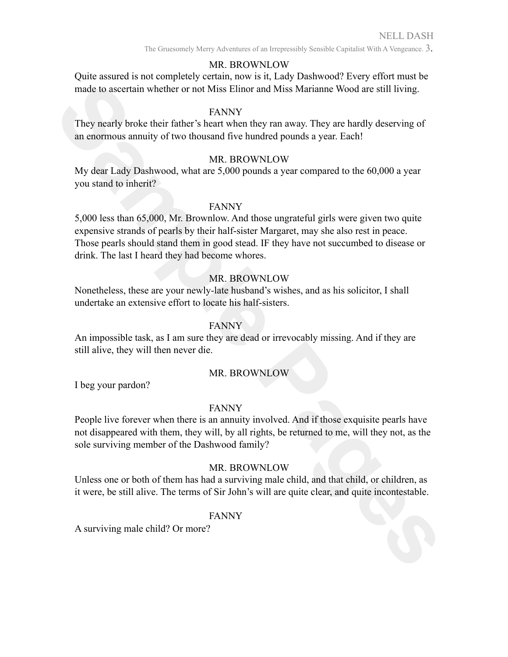The Gruesomely Merry Adventures of an Irrepressibly Sensible Capitalist With A Vengeance. 3.

## MR. BROWNLOW

Quite assured is not completely certain, now is it, Lady Dashwood? Every effort must be made to ascertain whether or not Miss Elinor and Miss Marianne Wood are still living.

### FANNY

They nearly broke their father's heart when they ran away. They are hardly deserving of an enormous annuity of two thousand five hundred pounds a year. Each!

#### MR. BROWNLOW

My dear Lady Dashwood, what are 5,000 pounds a year compared to the 60,000 a year you stand to inherit?

#### FANNY

made to ascertain whether or not Miss Etinor and Miss Marianne Wood are still living.<br>
They nearly broke their father's heart Worth they may away. They are hardly deserving of<br>
They nearly broke their father's heart Worthe 5,000 less than 65,000, Mr. Brownlow. And those ungrateful girls were given two quite expensive strands of pearls by their half-sister Margaret, may she also rest in peace. Those pearls should stand them in good stead. IF they have not succumbed to disease or drink. The last I heard they had become whores.

## MR. BROWNLOW

Nonetheless, these are your newly-late husband's wishes, and as his solicitor, I shall undertake an extensive effort to locate his half-sisters.

## FANNY

An impossible task, as I am sure they are dead or irrevocably missing. And if they are still alive, they will then never die.

#### MR. BROWNLOW

I beg your pardon?

#### FANNY

People live forever when there is an annuity involved. And if those exquisite pearls have not disappeared with them, they will, by all rights, be returned to me, will they not, as the sole surviving member of the Dashwood family?

## MR. BROWNLOW

Unless one or both of them has had a surviving male child, and that child, or children, as it were, be still alive. The terms of Sir John's will are quite clear, and quite incontestable.

#### FANNY

A surviving male child? Or more?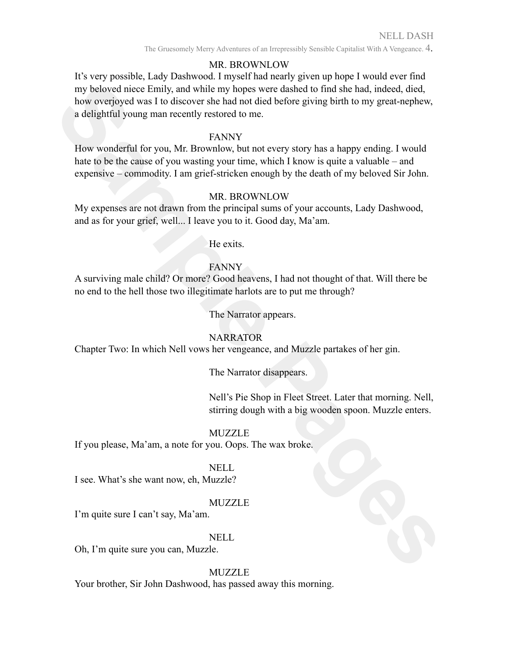The Gruesomely Merry Adventures of an Irrepressibly Sensible Capitalist With A Vengeance. 4.

## MR. BROWNLOW

my beloved nicec Emity, and while my hopes were diathed to find she had, indeed, disd,<br>
Now overloped was 10 ubiseaver she had not died before giving birth to my great-nephew,<br>
a delightful young man recently restored to m It's very possible, Lady Dashwood. I myself had nearly given up hope I would ever find my beloved niece Emily, and while my hopes were dashed to find she had, indeed, died, how overjoyed was I to discover she had not died before giving birth to my great-nephew, a delightful young man recently restored to me.

### FANNY

How wonderful for you, Mr. Brownlow, but not every story has a happy ending. I would hate to be the cause of you wasting your time, which I know is quite a valuable – and expensive – commodity. I am grief-stricken enough by the death of my beloved Sir John.

## MR. BROWNLOW

My expenses are not drawn from the principal sums of your accounts, Lady Dashwood, and as for your grief, well... I leave you to it. Good day, Ma'am.

He exits.

### **FANNY**

A surviving male child? Or more? Good heavens, I had not thought of that. Will there be no end to the hell those two illegitimate harlots are to put me through?

The Narrator appears.

#### NARRATOR

Chapter Two: In which Nell vows her vengeance, and Muzzle partakes of her gin.

#### The Narrator disappears.

Nell's Pie Shop in Fleet Street. Later that morning. Nell, stirring dough with a big wooden spoon. Muzzle enters.

#### MUZZLE

If you please, Ma'am, a note for you. Oops. The wax broke.

## NELL

I see. What's she want now, eh, Muzzle?

#### MUZZLE

I'm quite sure I can't say, Ma'am.

#### NELL

Oh, I'm quite sure you can, Muzzle.

#### **MUZZLE**

Your brother, Sir John Dashwood, has passed away this morning.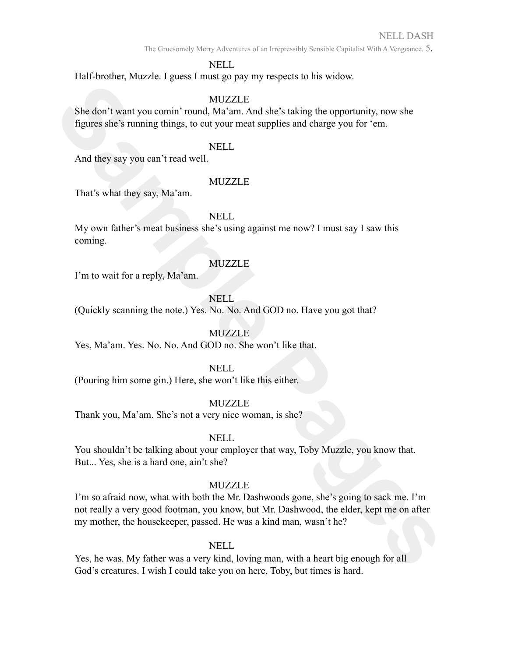The Gruesomely Merry Adventures of an Irrepressibly Sensible Capitalist With A Vengeance. 5.

## NELL

Half-brother, Muzzle. I guess I must go pay my respects to his widow.

## **MUZZLE**

She don't want you comin' round, Ma'am. And she's taking the opportunity, now she figures she's running things, to cut your meat supplies and charge you for 'em.

#### NELL

And they say you can't read well.

#### **MUZZLE**

That's what they say, Ma'am.

## NELL

My own father's meat business she's using against me now? I must say I saw this coming.

### MUZZLE

I'm to wait for a reply, Ma'am.

### NELL

(Quickly scanning the note.) Yes. No. No. And GOD no. Have you got that?

## **MUZZLE**

Yes, Ma'am. Yes. No. No. And GOD no. She won't like that.

#### NELL

(Pouring him some gin.) Here, she won't like this either.

## MUZZLE

Thank you, Ma'am. She's not a very nice woman, is she?

## NELL

You shouldn't be talking about your employer that way, Toby Muzzle, you know that. But... Yes, she is a hard one, ain't she?

#### **MUZZLE**

She don't want you comin' round, Ma<sup>2</sup> ann. And she's taking the opportunity, now she<br>
figures she's running things, to eat your meat supplies and charge you for 'em.<br>
And they say you can't read well.<br>
That's what they sa I'm so afraid now, what with both the Mr. Dashwoods gone, she's going to sack me. I'm not really a very good footman, you know, but Mr. Dashwood, the elder, kept me on after my mother, the housekeeper, passed. He was a kind man, wasn't he?

#### NELL

Yes, he was. My father was a very kind, loving man, with a heart big enough for all God's creatures. I wish I could take you on here, Toby, but times is hard.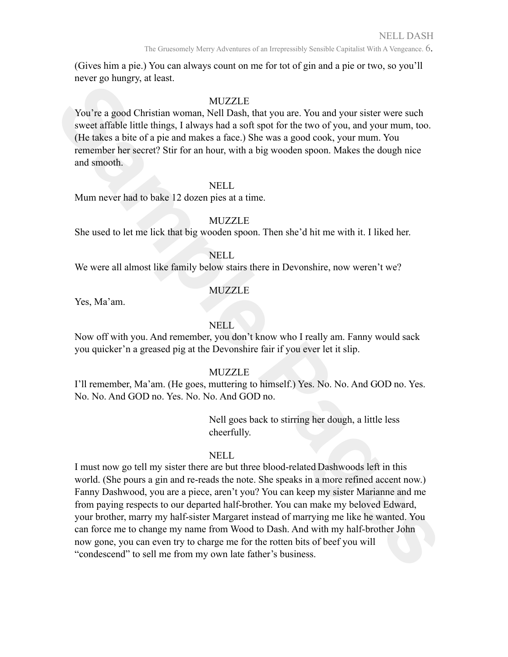The Gruesomely Merry Adventures of an Irrepressibly Sensible Capitalist With A Vengeance. 6.

(Gives him a pie.) You can always count on me for tot of gin and a pie or two, so you'll never go hungry, at least.

## MUZZLE

You're a good Christian woman, Nell Dash, that you are. You and your sister were such sweet affable little things, I always had a soft spot for the two of you, and your mum, too. (He takes a bite of a pie and makes a face.) She was a good cook, your mum. You remember her secret? Stir for an hour, with a big wooden spoon. Makes the dough nice and smooth.

#### NELL

Mum never had to bake 12 dozen pies at a time.

## MUZZLE

She used to let me lick that big wooden spoon. Then she'd hit me with it. I liked her.

### NELL

We were all almost like family below stairs there in Devonshire, now weren't we?

### MUZZLE

Yes, Ma'am.

#### NELL

Now off with you. And remember, you don't know who I really am. Fanny would sack you quicker'n a greased pig at the Devonshire fair if you ever let it slip.

#### MUZZLE

I'll remember, Ma'am. (He goes, muttering to himself.) Yes. No. No. And GOD no. Yes. No. No. And GOD no. Yes. No. No. And GOD no.

> Nell goes back to stirring her dough, a little less cheerfully.

#### NELL.

MITZTLE<br>
You're a good Christian woman. Nell Dash, that you are: You and your sister were such<br>
several fible bings, I shways hul a soft spin for the two of you, and your mum, two<br>
the takes a bite of a pie and makets a fa I must now go tell my sister there are but three blood-related Dashwoods left in this world. (She pours a gin and re-reads the note. She speaks in a more refined accent now.) Fanny Dashwood, you are a piece, aren't you? You can keep my sister Marianne and me from paying respects to our departed half-brother. You can make my beloved Edward, your brother, marry my half-sister Margaret instead of marrying me like he wanted. You can force me to change my name from Wood to Dash. And with my half-brother John now gone, you can even try to charge me for the rotten bits of beef you will "condescend" to sell me from my own late father's business.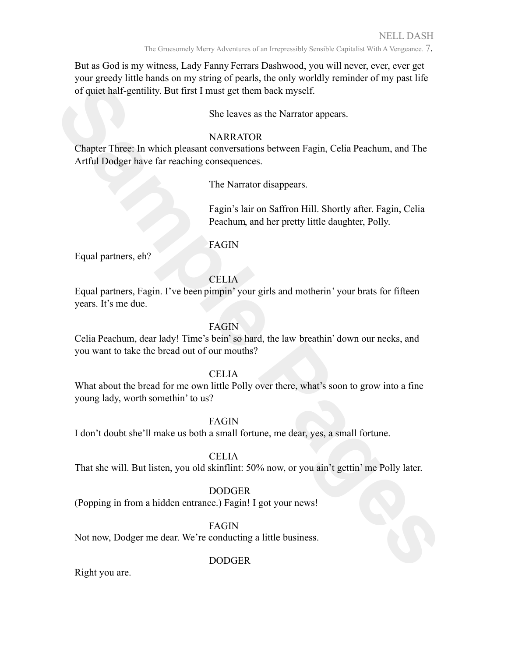The Gruesomely Merry Adventures of an Irrepressibly Sensible Capitalist With A Vengeance. 7.

But as God is my witness, Lady Fanny Ferrars Dashwood, you will never, ever, ever get your greedy little hands on my string of pearls, the only worldly reminder of my past life of quiet half-gentility. But first I must get them back myself.

She leaves as the Narrator appears.

## **NARRATOR**

*Secure 18 and 2003* **Sample Pages** (*Space 28 and 28 and 28 and 28 and 28 and 28 and 28 and 28 and 28 and 28 and 28 and 28 and 28 and 28 and 28 And 28 and 2003 and 2003 and 2003 and 2003 and 2003 and 2003 and 2003 and 200* Chapter Three: In which pleasant conversations between Fagin, Celia Peachum, and The Artful Dodger have far reaching consequences.

The Narrator disappears.

Fagin's lair on Saffron Hill. Shortly after. Fagin, Celia Peachum, and her pretty little daughter, Polly.

# FAGIN

Equal partners, eh?

# CELIA

Equal partners, Fagin. I've been pimpin' your girls and motherin' your brats for fifteen years. It's me due.

# FAGIN

Celia Peachum, dear lady! Time's bein'so hard, the law breathin' down our necks, and you want to take the bread out of our mouths?

## CELIA

What about the bread for me own little Polly over there, what's soon to grow into a fine young lady, worth somethin' to us?

FAGIN

I don't doubt she'll make us both a small fortune, me dear, yes, a small fortune.

# CELIA

That she will. But listen, you old skinflint: 50% now, or you ain't gettin' me Polly later.

# DODGER

(Popping in from a hidden entrance.) Fagin! I got your news!

FAGIN

Not now, Dodger me dear. We're conducting a little business.

# DODGER

Right you are.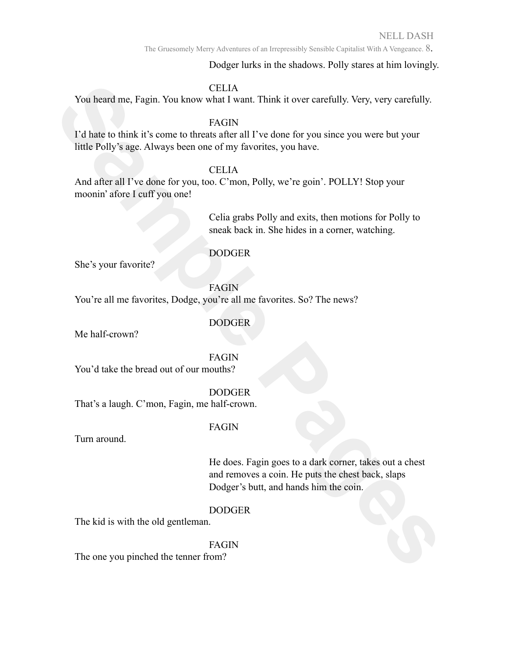The Gruesomely Merry Adventures of an Irrepressibly Sensible Capitalist With A Vengeance. 8.

Dodger lurks in the shadows. Polly stares at him lovingly.

#### CELIA

You heard me, Fagin. You know what I want. Think it over carefully. Very, very carefully.

FAGIN

Standard The King CELIA<br>
Sample The King Hamplet of the transformation of the transformation of the transformation<br>
Factor China is the compute of the standard UV of the standard UV of the UV of the Colly Sage. Always been I'd hate to think it's come to threats after all I've done for you since you were but your little Polly's age. Always been one of my favorites, you have.

### **CELIA**

And after all I've done for you, too. C'mon, Polly, we're goin'. POLLY! Stop your moonin' afore I cuff you one!

> Celia grabs Polly and exits, then motions for Polly to sneak back in. She hides in a corner, watching.

### DODGER

She's your favorite?

FAGIN You're all me favorites, Dodge, you're all me favorites. So? The news?

#### DODGER

Me half-crown?

FAGIN

You'd take the bread out of our mouths?

DODGER

That's a laugh. C'mon, Fagin, me half-crown.

#### FAGIN

Turn around.

He does. Fagin goes to a dark corner, takes out a chest and removes a coin. He puts the chest back, slaps Dodger's butt, and hands him the coin.

#### DODGER

The kid is with the old gentleman.

#### FAGIN

The one you pinched the tenner from?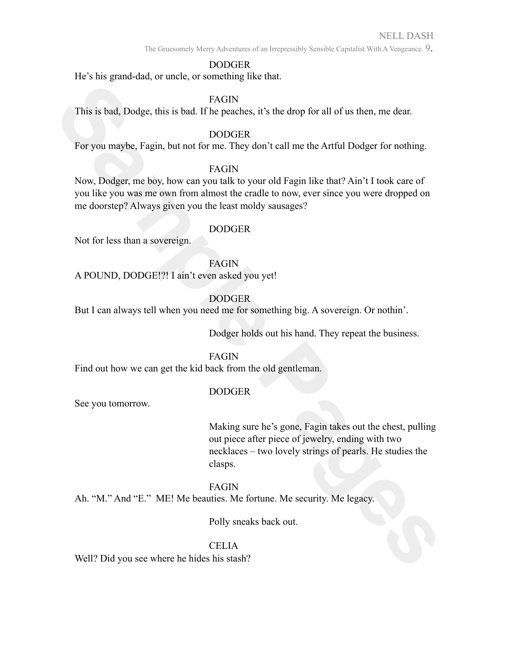The Gruesomely Merry Adventures of an Irrepressibly Sensible Capitalist With A Vengeance. 9.

## DODGER

He's his grand-dad, or uncle, or something like that.

#### FAGIN

This is bad, Dodge, this is bad. If he peaches, it's the drop for all of us then, me dear.

## DODGER

For you maybe, Fagin, but not for me. They don't call me the Artful Dodger for nothing.

## FAGIN

FAGIN<br>
This is bad, Dodge, this is bad. If he peaches, it's the drop for all of us then, me dear.<br> **Solvey, Dodger**, then to forms. They don't call me the Artful Dodger for nothing.<br>
Now, Dodger, me, boy, we sample us his Now, Dodger, me boy, how can you talk to your old Fagin like that? Ain't I took care of you like you was me own from almost the cradle to now, ever since you were dropped on me doorstep? Always given you the least moldy sausages?

### DODGER

Not for less than a sovereign.

FAGIN A POUND, DODGE!?! I ain't even asked you yet!

## DODGER

But I can always tell when you need me for something big. A sovereign. Or nothin'.

Dodger holds out his hand. They repeat the business.

## FAGIN

Find out how we can get the kid back from the old gentleman.

## DODGER

See you tomorrow.

Making sure he's gone, Fagin takes out the chest, pulling out piece after piece of jewelry, ending with two necklaces – two lovely strings of pearls. He studies the clasps.

## FAGIN

Ah. "M." And "E." ME! Me beauties. Me fortune. Me security. Me legacy.

Polly sneaks back out.

# CELIA

Well? Did you see where he hides his stash?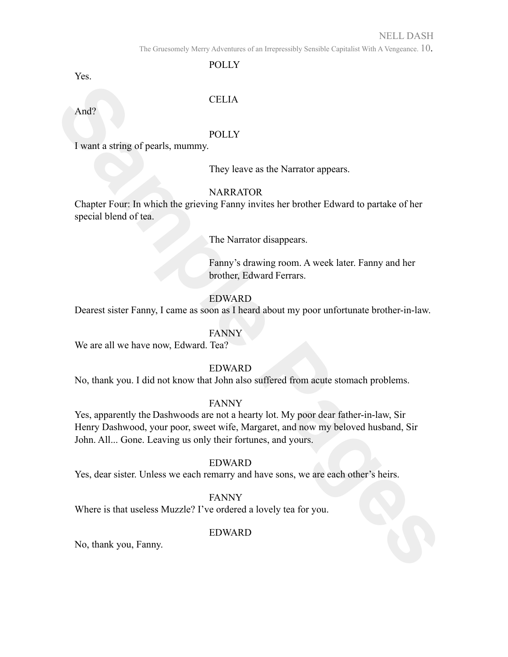### NELL DASH

The Gruesomely Merry Adventures of an Irrepressibly Sensible Capitalist With A Vengeance. 10.

POLLY

Yes.

## CELIA

And?

### **POLLY**

I want a string of pearls, mummy.

They leave as the Narrator appears.

## **NARRATOR**

Chapter Four: In which the grieving Fanny invites her brother Edward to partake of her special blend of tea.

The Narrator disappears.

Fanny's drawing room. A week later. Fanny and her brother, Edward Ferrars.

### EDWARD

Dearest sister Fanny, I came as soon as I heard about my poor unfortunate brother-in-law.

## FANNY

We are all we have now, Edward. Tea?

#### EDWARD

No, thank you. I did not know that John also suffered from acute stomach problems.

#### FANNY

CFLTA<br> **Sample Pages**<br> **SARRATOR**<br> **Sample Pages**<br> **SARRATOR**<br> **SARRATOR**<br> **SARRATOR**<br> **SARRATOR**<br> **SARRATOR**<br> **SARRATOR**<br> **SARRATOR**<br> **SARRATOR**<br> **FIG.** Variation disappears.<br> **FIG. FIG. SAMP**<br> **FIG. SAMP**<br> **FIG.** Yes, apparently the Dashwoods are not a hearty lot. My poor dear father-in-law, Sir Henry Dashwood, your poor, sweet wife, Margaret, and now my beloved husband, Sir John. All... Gone. Leaving us only their fortunes, and yours.

#### EDWARD

Yes, dear sister. Unless we each remarry and have sons, we are each other's heirs.

## FANNY

Where is that useless Muzzle? I've ordered a lovely tea for you.

## EDWARD

No, thank you, Fanny.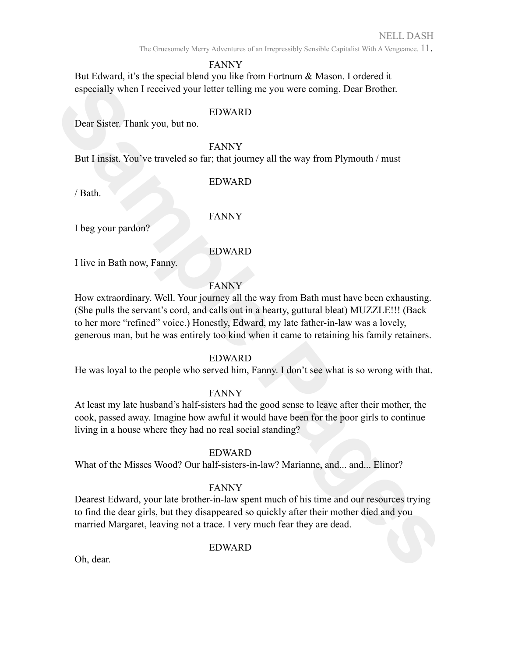The Gruesomely Merry Adventures of an Irrepressibly Sensible Capitalist With A Vengeance. 11.

#### FANNY

But Edward, it's the special blend you like from Fortnum & Mason. I ordered it especially when I received your letter telling me you were coming. Dear Brother.

#### EDWARD

Dear Sister. Thank you, but no.

#### FANNY

But I insist. You've traveled so far; that journey all the way from Plymouth / must

### EDWARD

/ Bath.

FANNY

I beg your pardon?

## EDWARD

I live in Bath now, Fanny.

## FANNY

**Sample The United Scheen Scheen Scheen Scheen Scheen Scheen Scheen Sister. Thank you, but no<br>
<b>SENNY**<br> **Sample Page Scheen Scheen Scheen Scheen Scheen Scheen Scheen Scheen Scheen Scheen Scheen Scheen Scheen Scheen Scheen** How extraordinary. Well. Your journey all the way from Bath must have been exhausting. (She pulls the servant's cord, and calls out in a hearty, guttural bleat) MUZZLE!!! (Back to her more "refined" voice.) Honestly, Edward, my late father-in-law was a lovely, generous man, but he was entirely too kind when it came to retaining his family retainers.

#### EDWARD

He was loyal to the people who served him, Fanny. I don't see what is so wrong with that.

## FANNY

At least my late husband's half-sisters had the good sense to leave after their mother, the cook, passed away. Imagine how awful it would have been for the poor girls to continue living in a house where they had no real social standing?

## EDWARD

What of the Misses Wood? Our half-sisters-in-law? Marianne, and... and... Elinor?

#### FANNY

Dearest Edward, your late brother-in-law spent much of his time and our resources trying to find the dear girls, but they disappeared so quickly after their mother died and you married Margaret, leaving not a trace. I very much fear they are dead.

## EDWARD

Oh, dear.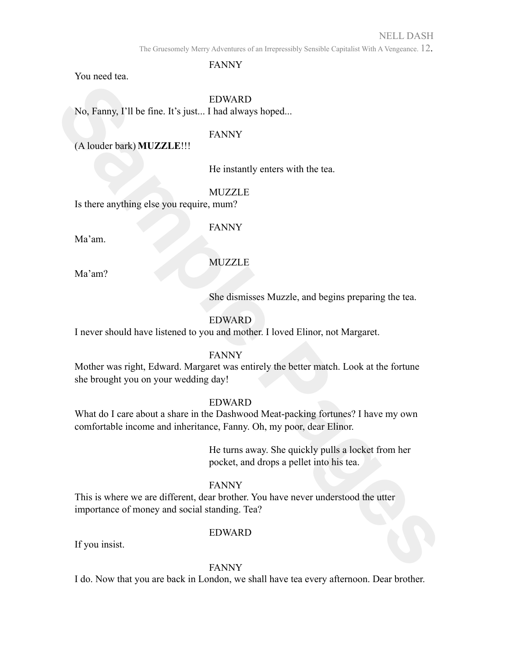## NELL DASH

The Gruesomely Merry Adventures of an Irrepressibly Sensible Capitalist With A Vengeance. 12.

FANNY

You need tea.

### EDWARD

No, Fanny, I'll be fine. It's just... I had always hoped...

#### FANNY

(A louder bark) **MUZZLE**!!!

He instantly enters with the tea.

MUZZLE

Is there anything else you require, mum?

FANNY

Ma'am.

Ma'am?

MUZZLE

She dismisses Muzzle, and begins preparing the tea.

# EDWARD

I never should have listened to you and mother. I loved Elinor, not Margaret.

## FANNY

Mother was right, Edward. Margaret was entirely the better match. Look at the fortune she brought you on your wedding day!

#### EDWARD

**Sample Pages** What do I care about a share in the Dashwood Meat-packing fortunes? I have my own comfortable income and inheritance, Fanny. Oh, my poor, dear Elinor.

He turns away. She quickly pulls a locket from her pocket, and drops a pellet into his tea.

## FANNY

This is where we are different, dear brother. You have never understood the utter importance of money and social standing. Tea?

## EDWARD

If you insist.

#### FANNY

I do. Now that you are back in London, we shall have tea every afternoon. Dear brother.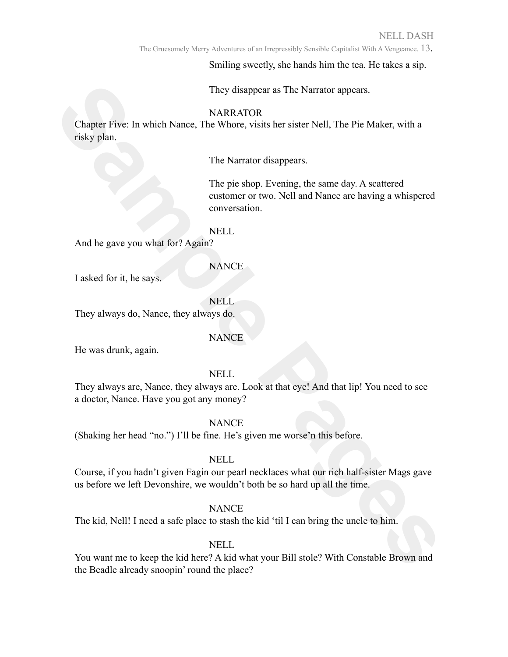The Gruesomely Merry Adventures of an Irrepressibly Sensible Capitalist With A Vengeance. 13.

Smiling sweetly, she hands him the tea. He takes a sip.

They disappear as The Narrator appears.

#### NARRATOR

Chapter Five: In which Nance, The Whore, visits her sister Nell, The Pie Maker, with a risky plan.

The Narrator disappears.

The pie shop. Evening, the same day. A scattered customer or two. Nell and Nance are having a whispered conversation.

NELL

And he gave you what for? Again?

**NANCE** 

I asked for it, he says.

NELL

They always do, Nance, they always do.

#### **NANCE**

He was drunk, again.

NELL

**SAMPATION**<br> **SAMPATION**<br> **SAMPATION**<br> **SAMPATION**<br> **SAMPATION**<br> **SAMPATION**<br> **SAMPATION**<br> **SAMPATION**<br> **SAMPATION**<br> **SAMPATION**<br> **SAMPATION**<br> **SAMPATION**<br> **SAMPATION**<br> **SAMPATION**<br> **SAMPATION**<br> **SAMPATION**<br> **SAMPATION**<br> They always are, Nance, they always are. Look at that eye! And that lip! You need to see a doctor, Nance. Have you got any money?

**NANCE** 

(Shaking her head "no.") I'll be fine. He's given me worse'n this before.

#### NELL

Course, if you hadn't given Fagin our pearl necklaces what our rich half-sister Mags gave us before we left Devonshire, we wouldn't both be so hard up all the time.

#### **NANCE**

The kid, Nell! I need a safe place to stash the kid 'til I can bring the uncle to him.

## NELL

You want me to keep the kid here? A kid what your Bill stole? With Constable Brown and the Beadle already snoopin' round the place?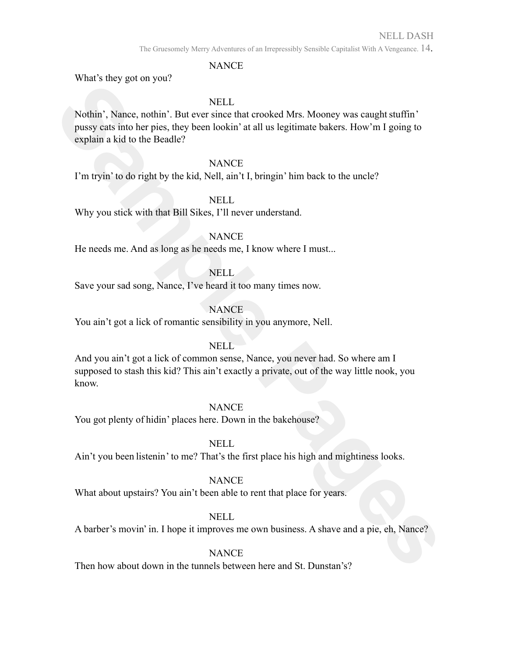The Gruesomely Merry Adventures of an Irrepressibly Sensible Capitalist With A Vengeance. 14.

#### NANCE

What's they got on you?

### NELL

**Sample The Sample Page School School School School School School School School School School School School School School School School School School School School School School School School School School School School Sc** Nothin', Nance, nothin'. But ever since that crooked Mrs. Mooney was caught stuffin' pussy cats into her pies, they been lookin' at all us legitimate bakers. How'm I going to explain a kid to the Beadle?

#### **NANCE**

I'm tryin' to do right by the kid, Nell, ain't I, bringin' him back to the uncle?

#### NELL

Why you stick with that Bill Sikes, I'll never understand.

#### **NANCE**

He needs me. And as long as he needs me, I know where I must...

#### NELL

Save your sad song, Nance, I've heard it too many times now.

## **NANCE**

You ain't got a lick of romantic sensibility in you anymore, Nell.

#### **NELL**

And you ain't got a lick of common sense, Nance, you never had. So where am I supposed to stash this kid? This ain't exactly a private, out of the way little nook, you know.

#### **NANCE**

You got plenty of hidin' places here. Down in the bakehouse?

## NELL

Ain't you been listenin' to me? That's the first place his high and mightiness looks.

#### **NANCE**

What about upstairs? You ain't been able to rent that place for years.

## NELL

A barber's movin' in. I hope it improves me own business. A shave and a pie, eh, Nance?

## **NANCE**

Then how about down in the tunnels between here and St. Dunstan's?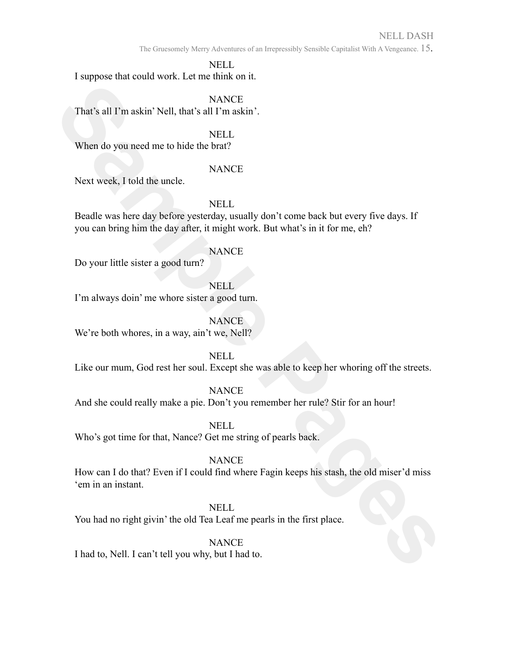## NELL DASH

The Gruesomely Merry Adventures of an Irrepressibly Sensible Capitalist With A Vengeance. 15.

NELL

I suppose that could work. Let me think on it.

**NANCE** 

That's all I'm askin' Nell, that's all I'm askin'.

NELL.

When do you need me to hide the brat?

### NANCE

Next week, I told the uncle.

NELL

Beadle was here day before yesterday, usually don't come back but every five days. If you can bring him the day after, it might work. But what's in it for me, eh?

### **NANCE**

Do your little sister a good turn?

NELL

I'm always doin' me whore sister a good turn.

**NANCE** 

We're both whores, in a way, ain't we, Nell?

NELL

Like our mum, God rest her soul. Except she was able to keep her whoring off the streets.

## **NANCE**

And she could really make a pie. Don't you remember her rule? Stir for an hour!

NELL

Who's got time for that, Nance? Get me string of pearls back.

## **NANCE**

VANCE<br>
That's all I'm askin' Nell, that's all I'm askin'.<br>
When do you need me to hide the brat?<br>
When do you need me to hide the brat?<br>
SANCE<br>
NELL<br>
NELL<br>
Packle was here alsy before yestershay, usually don't corne back b How can I do that? Even if I could find where Fagin keeps his stash, the old miser'd miss 'em in an instant.

# NELL

You had no right givin' the old Tea Leaf me pearls in the first place.

# **NANCE**

I had to, Nell. I can't tell you why, but I had to.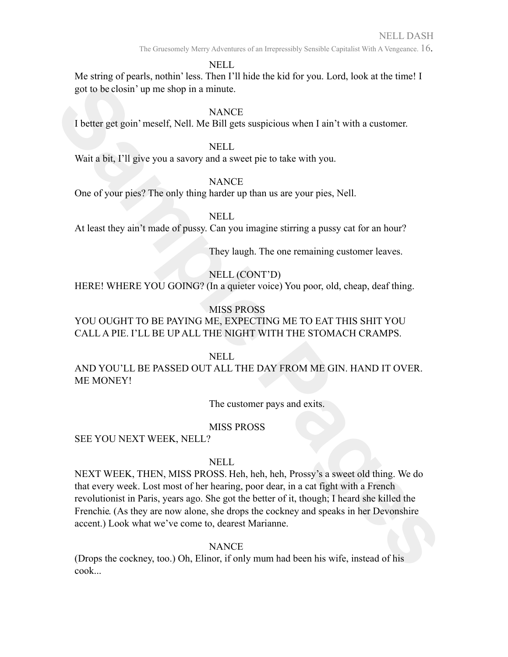The Gruesomely Merry Adventures of an Irrepressibly Sensible Capitalist With A Vengeance. 16.

NELL

Me string of pearls, nothin' less. Then I'll hide the kid for you. Lord, look at the time! I got to be closin' up me shop in a minute.

**NANCE** 

I better get goin'meself, Nell. Me Bill gets suspicious when I ain't with a customer.

NELL

Wait a bit, I'll give you a savory and a sweet pie to take with you.

**NANCE** 

One of your pies? The only thing harder up than us are your pies, Nell.

NELL

At least they ain't made of pussy. Can you imagine stirring a pussy cat for an hour?

They laugh. The one remaining customer leaves.

# NELL (CONT'D)

HERE! WHERE YOU GOING? (In a quieter voice) You poor, old, cheap, deaf thing.

# MISS PROSS

YOU OUGHT TO BE PAYING ME, EXPECTING ME TO EAT THIS SHIT YOU CALL A PIE. I'LL BE UP ALL THE NIGHT WITH THE STOMACH CRAMPS.

NELL

AND YOU'LL BE PASSED OUT ALL THE DAY FROM ME GIN. HAND IT OVER. ME MONEY!

The customer pays and exits.

# MISS PROSS

SEE YOU NEXT WEEK, NELL?

## NELL

got to be closin' up me shop in a minute.<br>
SAMCE<br>
SAMCE<br>
SAMCE<br>
I better get goin' meself, Nell Abe Bill gets suspicious when I ain't with a customer.<br>
Nait a bit, <sup>F11</sup> give you a savery and a sweet pit to lake with you.<br> NEXT WEEK, THEN, MISS PROSS. Heh, heh, heh, Prossy's a sweet old thing. We do that every week. Lost most of her hearing, poor dear, in a cat fight with a French revolutionist in Paris, years ago. She got the better of it, though; I heard she killed the Frenchie. (As they are now alone, she drops the cockney and speaks in her Devonshire accent.) Look what we've come to, dearest Marianne.

**NANCE** 

(Drops the cockney, too.) Oh, Elinor, if only mum had been his wife, instead of his cook...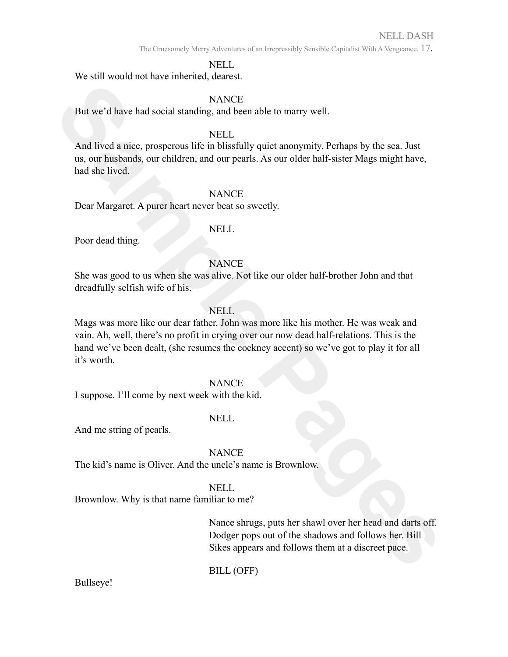The Gruesomely Merry Adventures of an Irrepressibly Sensible Capitalist With A Vengeance. 17.

#### NELL

We still would not have inherited, dearest.

#### **NANCE**

But we'd have had social standing, and been able to marry well.

#### NELL

And lived a nice, prosperous life in blissfully quiet anonymity. Perhaps by the sea. Just us, our husbands, our children, and our pearls. As our older half-sister Mags might have, had she lived.

#### **NANCE**

Dear Margaret. A purer heart never beat so sweetly.

#### NELL

Poor dead thing.

#### **NANCE**

She was good to us when she was alive. Not like our older half-brother John and that dreadfully selfish wife of his.

## **NELL**

**SANCE**<br> **SAMPLE PAGE AND SET UP TO THE SAMPLE SET AND INTERFERANCE SET AND INTERFERANCE IN INTERFERANCE IN UNISORALLY QUICE AND ON THE SAMPLE PAGE AND SAMPLE PAGE AND SAMPLE POOP developed and she include that is the set** Mags was more like our dear father. John was more like his mother. He was weak and vain. Ah, well, there's no profit in crying over our now dead half-relations. This is the hand we've been dealt, (she resumes the cockney accent) so we've got to play it for all it's worth.

#### **NANCE**

I suppose. I'll come by next week with the kid.

#### NELL

And me string of pearls.

#### **NANCE**

The kid's name is Oliver. And the uncle's name is Brownlow.

#### NELL

Brownlow. Why is that name familiar to me?

Nance shrugs, puts her shawl over her head and darts off. Dodger pops out of the shadows and follows her. Bill Sikes appears and follows them at a discreet pace.

BILL (OFF)

Bullseye!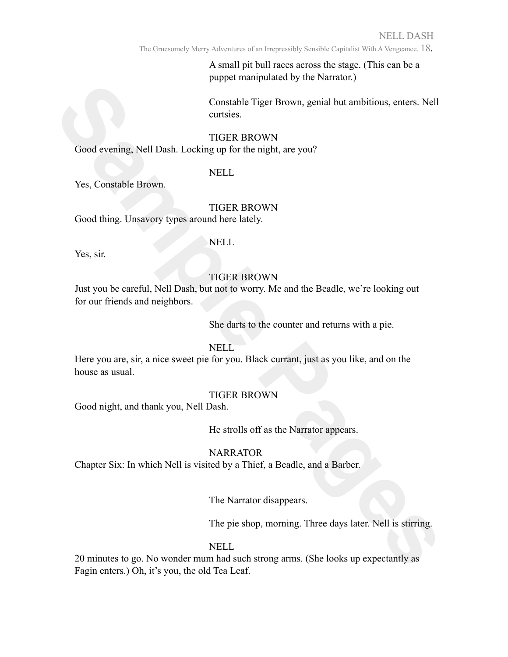The Gruesomely Merry Adventures of an Irrepressibly Sensible Capitalist With A Vengeance. 18.

A small pit bull races across the stage. (This can be a puppet manipulated by the Narrator.)

Constable Tiger Brown, genial but ambitious, enters. Nell curtsies.

#### TIGER BROWN

Good evening, Nell Dash. Locking up for the night, are you?

#### NELL

Yes, Constable Brown.

## TIGER BROWN

Good thing. Unsavory types around here lately.

#### NELL

Yes, sir.

### TIGER BROWN

**Sample The Page Stress Constants (See Frontier School evening, Nell Dash, Locking up for the night, are you?**<br>
Sample THER BROWN<br>
Sample THER BROWN<br>
Sample Pages around the lately.<br>
THER BROWN<br>
Sample Pages around the lat Just you be careful, Nell Dash, but not to worry. Me and the Beadle, we're looking out for our friends and neighbors.

She darts to the counter and returns with a pie.

# NELL

Here you are, sir, a nice sweet pie for you. Black currant, just as you like, and on the house as usual.

#### TIGER BROWN

Good night, and thank you, Nell Dash.

He strolls off as the Narrator appears.

## **NARRATOR**

Chapter Six: In which Nell is visited by a Thief, a Beadle, and a Barber.

The Narrator disappears.

The pie shop, morning. Three days later. Nell is stirring.

#### NELL

20 minutes to go. No wonder mum had such strong arms. (She looks up expectantly as Fagin enters.) Oh, it's you, the old Tea Leaf.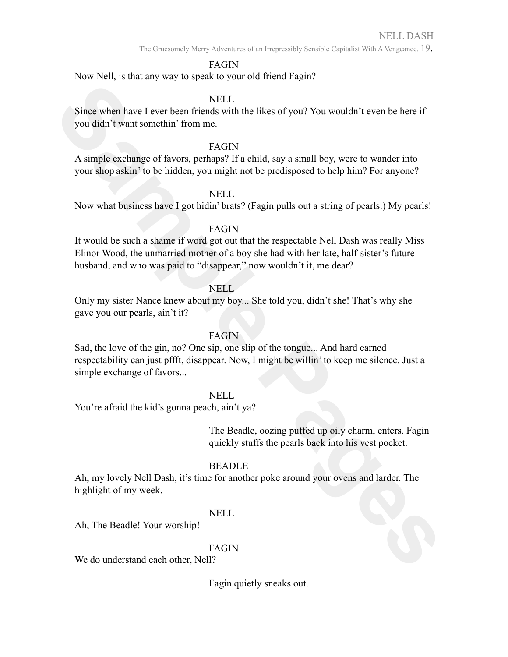The Gruesomely Merry Adventures of an Irrepressibly Sensible Capitalist With A Vengeance. 19.

### FAGIN

Now Nell, is that any way to speak to your old friend Fagin?

### NELL

Since when have I ever been friends with the likes of you? You wouldn't even be here if you didn't want somethin' from me.

## FAGIN

A simple exchange of favors, perhaps? If a child, say a small boy, were to wander into your shop askin' to be hidden, you might not be predisposed to help him? For anyone?

### NELL

Now what business have I got hidin' brats? (Fagin pulls out a string of pearls.) My pearls!

### FAGIN

It would be such a shame if word got out that the respectable Nell Dash was really Miss Elinor Wood, the unmarried mother of a boy she had with her late, half-sister's future husband, and who was paid to "disappear," now wouldn't it, me dear?

## NELL

Only my sister Nance knew about my boy... She told you, didn't she! That's why she gave you our pearls, ain't it?

## FAGIN

Since when have I ever been friends with the likes of you? You wouldn't even be here if<br>you din't want smothly in more.<br>A simple evel-nange of favors, perhaps? I'a abild, say a small bay, were to warder into<br>your shop aski Sad, the love of the gin, no? One sip, one slip of the tongue... And hard earned respectability can just pffft, disappear. Now, I might be willin' to keep me silence. Just a simple exchange of favors...

#### NELL

You're afraid the kid's gonna peach, ain't ya?

The Beadle, oozing puffed up oily charm, enters. Fagin quickly stuffs the pearls back into his vest pocket.

## BEADLE

Ah, my lovely Nell Dash, it's time for another poke around your ovens and larder. The highlight of my week.

## NELL

Ah, The Beadle! Your worship!

## FAGIN

We do understand each other, Nell?

Fagin quietly sneaks out.